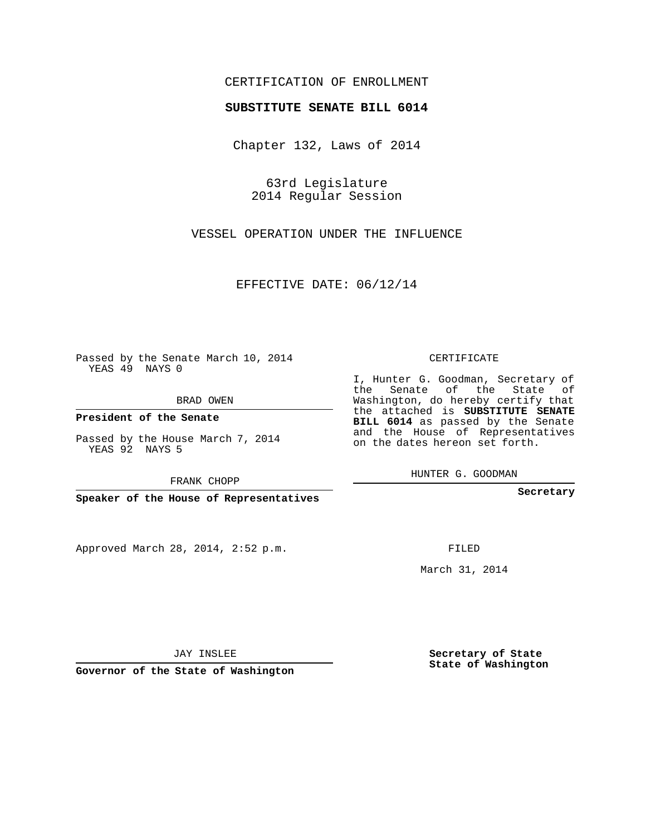## CERTIFICATION OF ENROLLMENT

## **SUBSTITUTE SENATE BILL 6014**

Chapter 132, Laws of 2014

63rd Legislature 2014 Regular Session

VESSEL OPERATION UNDER THE INFLUENCE

EFFECTIVE DATE: 06/12/14

Passed by the Senate March 10, 2014 YEAS 49 NAYS 0

BRAD OWEN

**President of the Senate**

Passed by the House March 7, 2014 YEAS 92 NAYS 5

FRANK CHOPP

**Speaker of the House of Representatives**

Approved March 28, 2014, 2:52 p.m.

CERTIFICATE

I, Hunter G. Goodman, Secretary of the Senate of the State of Washington, do hereby certify that the attached is **SUBSTITUTE SENATE BILL 6014** as passed by the Senate and the House of Representatives on the dates hereon set forth.

HUNTER G. GOODMAN

**Secretary**

FILED

March 31, 2014

**Secretary of State State of Washington**

JAY INSLEE

**Governor of the State of Washington**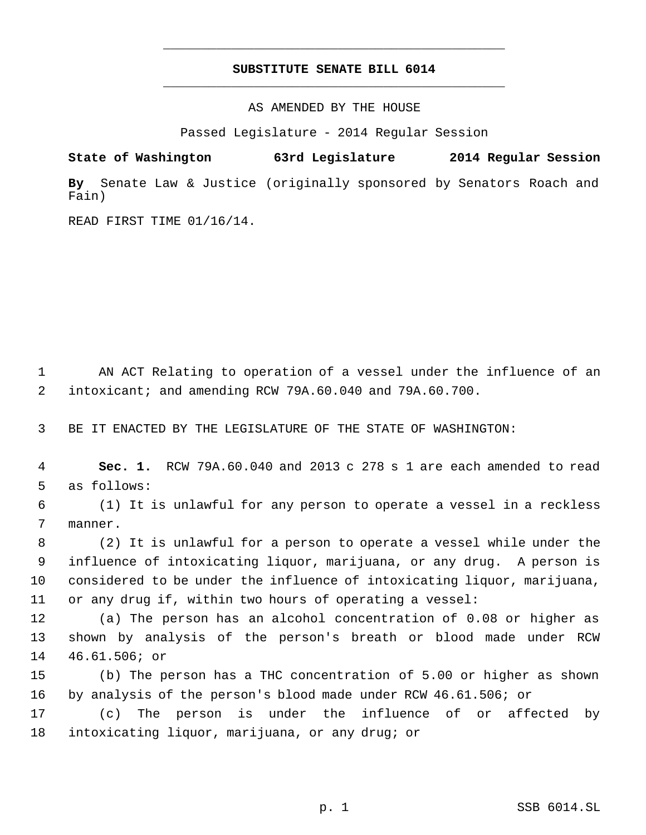## **SUBSTITUTE SENATE BILL 6014** \_\_\_\_\_\_\_\_\_\_\_\_\_\_\_\_\_\_\_\_\_\_\_\_\_\_\_\_\_\_\_\_\_\_\_\_\_\_\_\_\_\_\_\_\_

\_\_\_\_\_\_\_\_\_\_\_\_\_\_\_\_\_\_\_\_\_\_\_\_\_\_\_\_\_\_\_\_\_\_\_\_\_\_\_\_\_\_\_\_\_

AS AMENDED BY THE HOUSE

Passed Legislature - 2014 Regular Session

**State of Washington 63rd Legislature 2014 Regular Session**

**By** Senate Law & Justice (originally sponsored by Senators Roach and Fain)

READ FIRST TIME 01/16/14.

 AN ACT Relating to operation of a vessel under the influence of an intoxicant; and amending RCW 79A.60.040 and 79A.60.700.

BE IT ENACTED BY THE LEGISLATURE OF THE STATE OF WASHINGTON:

 **Sec. 1.** RCW 79A.60.040 and 2013 c 278 s 1 are each amended to read as follows:

 (1) It is unlawful for any person to operate a vessel in a reckless manner.

 (2) It is unlawful for a person to operate a vessel while under the influence of intoxicating liquor, marijuana, or any drug. A person is considered to be under the influence of intoxicating liquor, marijuana, or any drug if, within two hours of operating a vessel:

 (a) The person has an alcohol concentration of 0.08 or higher as shown by analysis of the person's breath or blood made under RCW 46.61.506; or

 (b) The person has a THC concentration of 5.00 or higher as shown by analysis of the person's blood made under RCW 46.61.506; or

 (c) The person is under the influence of or affected by intoxicating liquor, marijuana, or any drug; or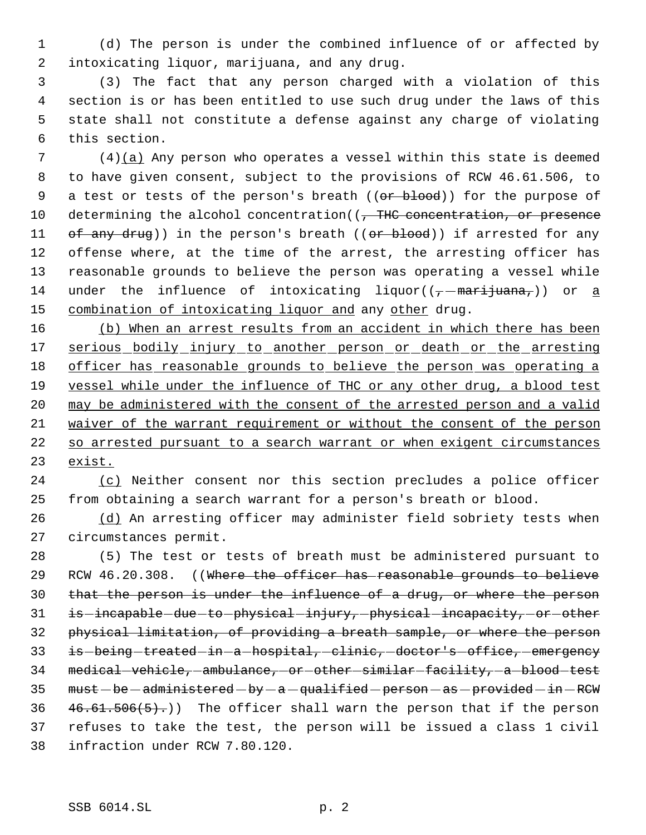1 (d) The person is under the combined influence of or affected by 2 intoxicating liquor, marijuana, and any drug.

 (3) The fact that any person charged with a violation of this section is or has been entitled to use such drug under the laws of this state shall not constitute a defense against any charge of violating this section.

 7 (4)(a) Any person who operates a vessel within this state is deemed 8 to have given consent, subject to the provisions of RCW 46.61.506, to 9 a test or tests of the person's breath ((or blood)) for the purpose of 10 determining the alcohol concentration((, THC concentration, or presence 11 of any drug)) in the person's breath ((or blood)) if arrested for any 12 offense where, at the time of the arrest, the arresting officer has 13 reasonable grounds to believe the person was operating a vessel while 14 under the influence of intoxicating liquor( $(\tau$ -marijuana,)) or a 15 combination of intoxicating liquor and any other drug.

16 (b) When an arrest results from an accident in which there has been 17 serious bodily injury to another person or death or the arresting 18 officer has reasonable grounds to believe the person was operating a 19 vessel while under the influence of THC or any other drug, a blood test 20 may be administered with the consent of the arrested person and a valid 21 waiver of the warrant requirement or without the consent of the person 22 so arrested pursuant to a search warrant or when exigent circumstances 23 exist.

24 (c) Neither consent nor this section precludes a police officer 25 from obtaining a search warrant for a person's breath or blood.

26 (d) An arresting officer may administer field sobriety tests when 27 circumstances permit.

28 (5) The test or tests of breath must be administered pursuant to 29 RCW 46.20.308. ((Where the officer has reasonable grounds to believe 30 that the person is under the influence of a drug, or where the person 31 is -incapable -due to -physical -injury, -physical -incapacity, -or -other 32 physical limitation, of providing a breath sample, or where the person 33 is being treated in a hospital, clinic, doctor's office, emergency 34 medical-vehicle, ambulance, or other similar facility, a blood test 35 must - be - administered - by - a - qualified - person - as - provided - in - RCW 36  $46.61.506(5)$ .)) The officer shall warn the person that if the person 37 refuses to take the test, the person will be issued a class 1 civil 38 infraction under RCW 7.80.120.